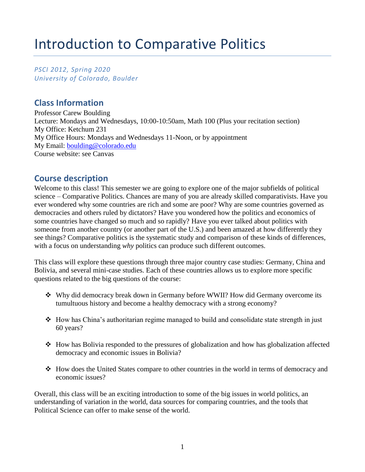# Introduction to Comparative Politics

*PSCI 2012, Spring 2020 University of Colorado, Boulder* 

## **Class Information**

Professor Carew Boulding Lecture: Mondays and Wednesdays, 10:00-10:50am, Math 100 (Plus your recitation section) My Office: Ketchum 231 My Office Hours: Mondays and Wednesdays 11-Noon, or by appointment My Email: [boulding@colorado.edu](mailto:boulding@colorado.edu) Course website: see Canvas

### **Course description**

Welcome to this class! This semester we are going to explore one of the major subfields of political science – Comparative Politics. Chances are many of you are already skilled comparativists. Have you ever wondered why some countries are rich and some are poor? Why are some countries governed as democracies and others ruled by dictators? Have you wondered how the politics and economics of some countries have changed so much and so rapidly? Have you ever talked about politics with someone from another country (or another part of the U.S.) and been amazed at how differently they see things? Comparative politics is the systematic study and comparison of these kinds of differences, with a focus on understanding *why* politics can produce such different outcomes.

This class will explore these questions through three major country case studies: Germany, China and Bolivia, and several mini-case studies. Each of these countries allows us to explore more specific questions related to the big questions of the course:

- ❖ Why did democracy break down in Germany before WWII? How did Germany overcome its tumultuous history and become a healthy democracy with a strong economy?
- ❖ How has China's authoritarian regime managed to build and consolidate state strength in just 60 years?
- ❖ How has Bolivia responded to the pressures of globalization and how has globalization affected democracy and economic issues in Bolivia?
- ❖ How does the United States compare to other countries in the world in terms of democracy and economic issues?

Overall, this class will be an exciting introduction to some of the big issues in world politics, an understanding of variation in the world, data sources for comparing countries, and the tools that Political Science can offer to make sense of the world.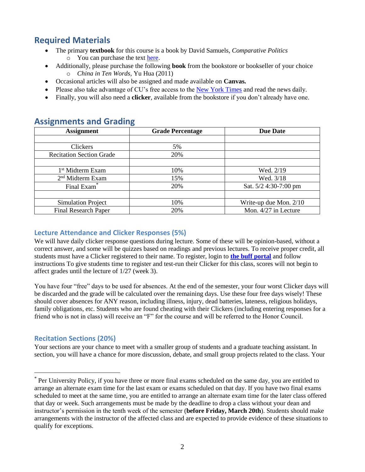# **Required Materials**

- The primary **textbook** for this course is a book by David Samuels, *Comparative Politics* o You can purchase the text [here.](https://console.pearson.com/enrollment/a07x2u)
- Additionally, please purchase the following **book** from the bookstore or bookseller of your choice o *China in Ten Words,* Yu Hua (2011)
- Occasional articles will also be assigned and made available on **Canvas.**
- Please also take advantage of CU's free access to the [New York Times](https://nytimesineducation.com/access-nyt/university-of-colorado-boulder-co/) and read the news daily.
- Finally, you will also need a **clicker**, available from the bookstore if you don't already have one.

# **Assignment Grade Percentage Due Date** Clickers 5% Recitation Section Grade 20% 1<sup>st</sup> Midterm Exam 10% 10% Wed. 2/19 2 nd Midterm Exam 15% Wed. 3/18 Final Exam<sup>\*</sup> 100 100 100 100 20% Sat. 5/2 4:30-7:00 pm Simulation Project 10% Write-up due Mon. 2/10 Final Research Paper 20% Mon. 4/27 in Lecture

### **Assignments and Grading**

### **Lecture Attendance and Clicker Responses (5%)**

We will have daily clicker response questions during lecture. Some of these will be opinion-based, without a correct answer, and some will be quizzes based on readings and previous lectures. To receive proper credit, all students must have a Clicker registered to their name. To register, login to **[the buff portal](https://buffportal.colorado.edu/card/CUClicker%20Registration)** and follow instructions To give students time to register and test-run their Clicker for this class, scores will not begin to affect grades until the lecture of 1/27 (week 3).

You have four "free" days to be used for absences. At the end of the semester, your four worst Clicker days will be discarded and the grade will be calculated over the remaining days. Use these four free days wisely! These should cover absences for ANY reason, including illness, injury, dead batteries, lateness, religious holidays, family obligations, etc. Students who are found cheating with their Clickers (including entering responses for a friend who is not in class) will receive an "F" for the course and will be referred to the Honor Council.

### **Recitation Sections (20%)**

 $\overline{a}$ 

Your sections are your chance to meet with a smaller group of students and a graduate teaching assistant. In section, you will have a chance for more discussion, debate, and small group projects related to the class. Your

<sup>\*</sup> Per University Policy, if you have three or more final exams scheduled on the same day, you are entitled to arrange an alternate exam time for the last exam or exams scheduled on that day. If you have two final exams scheduled to meet at the same time, you are entitled to arrange an alternate exam time for the later class offered that day or week. Such arrangements must be made by the deadline to drop a class without your dean and instructor's permission in the tenth week of the semester (**before Friday, March 20th**). Students should make arrangements with the instructor of the affected class and are expected to provide evidence of these situations to qualify for exceptions.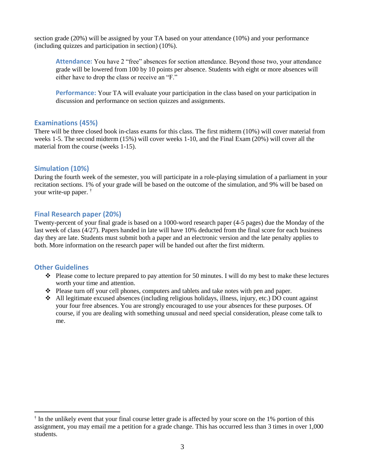section grade (20%) will be assigned by your TA based on your attendance (10%) and your performance (including quizzes and participation in section) (10%).

**Attendance:** You have 2 "free" absences for section attendance. Beyond those two, your attendance grade will be lowered from 100 by 10 points per absence. Students with eight or more absences will either have to drop the class or receive an "F."

**Performance:** Your TA will evaluate your participation in the class based on your participation in discussion and performance on section quizzes and assignments.

#### **Examinations (45%)**

There will be three closed book in-class exams for this class. The first midterm (10%) will cover material from weeks 1-5. The second midterm (15%) will cover weeks 1-10, and the Final Exam (20%) will cover all the material from the course (weeks 1-15).

#### **Simulation (10%)**

During the fourth week of the semester, you will participate in a role-playing simulation of a parliament in your recitation sections. 1% of your grade will be based on the outcome of the simulation, and 9% will be based on your write-up paper. †

#### **Final Research paper (20%)**

Twenty-percent of your final grade is based on a 1000-word research paper (4-5 pages) due the Monday of the last week of class (4/27). Papers handed in late will have 10% deducted from the final score for each business day they are late. Students must submit both a paper and an electronic version and the late penalty applies to both. More information on the research paper will be handed out after the first midterm.

#### **Other Guidelines**

 $\overline{a}$ 

- ❖ Please come to lecture prepared to pay attention for 50 minutes. I will do my best to make these lectures worth your time and attention.
- ❖ Please turn off your cell phones, computers and tablets and take notes with pen and paper.
- ❖ All legitimate excused absences (including religious holidays, illness, injury, etc.) DO count against your four free absences. You are strongly encouraged to use your absences for these purposes. Of course, if you are dealing with something unusual and need special consideration, please come talk to me.

<sup>&</sup>lt;sup>†</sup> In the unlikely event that your final course letter grade is affected by your score on the 1% portion of this assignment, you may email me a petition for a grade change. This has occurred less than 3 times in over 1,000 students.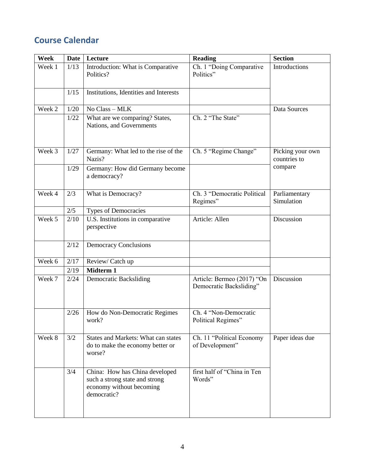# **Course Calendar**

| Week   | Date | Lecture                                                                                                     | <b>Reading</b>                                        | <b>Section</b>                   |
|--------|------|-------------------------------------------------------------------------------------------------------------|-------------------------------------------------------|----------------------------------|
| Week 1 | 1/13 | Introduction: What is Comparative<br>Politics?                                                              | Ch. 1 "Doing Comparative<br>Politics"                 | Introductions                    |
|        | 1/15 | Institutions, Identities and Interests                                                                      |                                                       |                                  |
| Week 2 | 1/20 | No Class - MLK                                                                                              |                                                       | Data Sources                     |
|        | 1/22 | What are we comparing? States,<br>Nations, and Governments                                                  | Ch. 2 "The State"                                     |                                  |
| Week 3 | 1/27 | Germany: What led to the rise of the<br>Nazis?                                                              | Ch. 5 "Regime Change"                                 | Picking your own<br>countries to |
|        | 1/29 | Germany: How did Germany become<br>a democracy?                                                             |                                                       | compare                          |
| Week 4 | 2/3  | What is Democracy?                                                                                          | Ch. 3 "Democratic Political<br>Regimes"               | Parliamentary<br>Simulation      |
|        | 2/5  | <b>Types of Democracies</b>                                                                                 |                                                       |                                  |
| Week 5 | 2/10 | U.S. Institutions in comparative<br>perspective                                                             | Article: Allen                                        | Discussion                       |
|        | 2/12 | <b>Democracy Conclusions</b>                                                                                |                                                       |                                  |
| Week 6 | 2/17 | Review/ Catch up                                                                                            |                                                       |                                  |
|        | 2/19 | Midterm 1                                                                                                   |                                                       |                                  |
| Week 7 | 2/24 | <b>Democratic Backsliding</b>                                                                               | Article: Bermeo (2017) "On<br>Democratic Backsliding" | Discussion                       |
|        | 2/26 | How do Non-Democratic Regimes<br>work?                                                                      | Ch. 4 "Non-Democratic<br>Political Regimes"           |                                  |
| Week 8 | 3/2  | <b>States and Markets: What can states</b><br>do to make the economy better or<br>worse?                    | Ch. 11 "Political Economy<br>of Development"          | Paper ideas due                  |
|        | 3/4  | China: How has China developed<br>such a strong state and strong<br>economy without becoming<br>democratic? | first half of "China in Ten<br>Words"                 |                                  |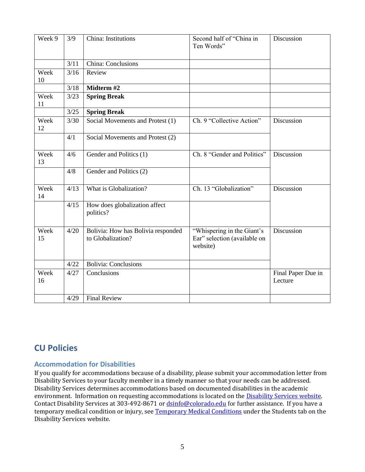| Week 9     | 3/9  | China: Institutions                                     | Second half of "China in<br>Ten Words"                                 | Discussion                    |
|------------|------|---------------------------------------------------------|------------------------------------------------------------------------|-------------------------------|
|            | 3/11 | China: Conclusions                                      |                                                                        |                               |
| Week<br>10 | 3/16 | Review                                                  |                                                                        |                               |
|            | 3/18 | Midterm #2                                              |                                                                        |                               |
| Week<br>11 | 3/23 | <b>Spring Break</b>                                     |                                                                        |                               |
|            | 3/25 | <b>Spring Break</b>                                     |                                                                        |                               |
| Week<br>12 | 3/30 | Social Movements and Protest (1)                        | Ch. 9 "Collective Action"                                              | Discussion                    |
|            | 4/1  | Social Movements and Protest (2)                        |                                                                        |                               |
| Week<br>13 | 4/6  | Gender and Politics (1)                                 | Ch. 8 "Gender and Politics"                                            | Discussion                    |
|            | 4/8  | Gender and Politics (2)                                 |                                                                        |                               |
| Week<br>14 | 4/13 | What is Globalization?                                  | Ch. 13 "Globalization"                                                 | Discussion                    |
|            | 4/15 | How does globalization affect<br>politics?              |                                                                        |                               |
| Week<br>15 | 4/20 | Bolivia: How has Bolivia responded<br>to Globalization? | "Whispering in the Giant's<br>Ear" selection (available on<br>website) | Discussion                    |
|            | 4/22 | <b>Bolivia: Conclusions</b>                             |                                                                        |                               |
| Week<br>16 | 4/27 | Conclusions                                             |                                                                        | Final Paper Due in<br>Lecture |
|            | 4/29 | <b>Final Review</b>                                     |                                                                        |                               |

# **CU Policies**

### **Accommodation for Disabilities**

If you qualify for accommodations because of a disability, please submit your accommodation letter from Disability Services to your faculty member in a timely manner so that your needs can be addressed. Disability Services determines accommodations based on documented disabilities in the academic environment. Information on requesting accommodations is located on the **Disability Services website**. Contact Disability Services at 303-492-8671 o[r dsinfo@colorado.edu](mailto:dsinfo@colorado.edu) for further assistance. If you have a temporary medical condition or injury, se[e Temporary Medical Conditions](http://www.colorado.edu/disabilityservices/students/temporary-medical-conditions) under the Students tab on the Disability Services website.